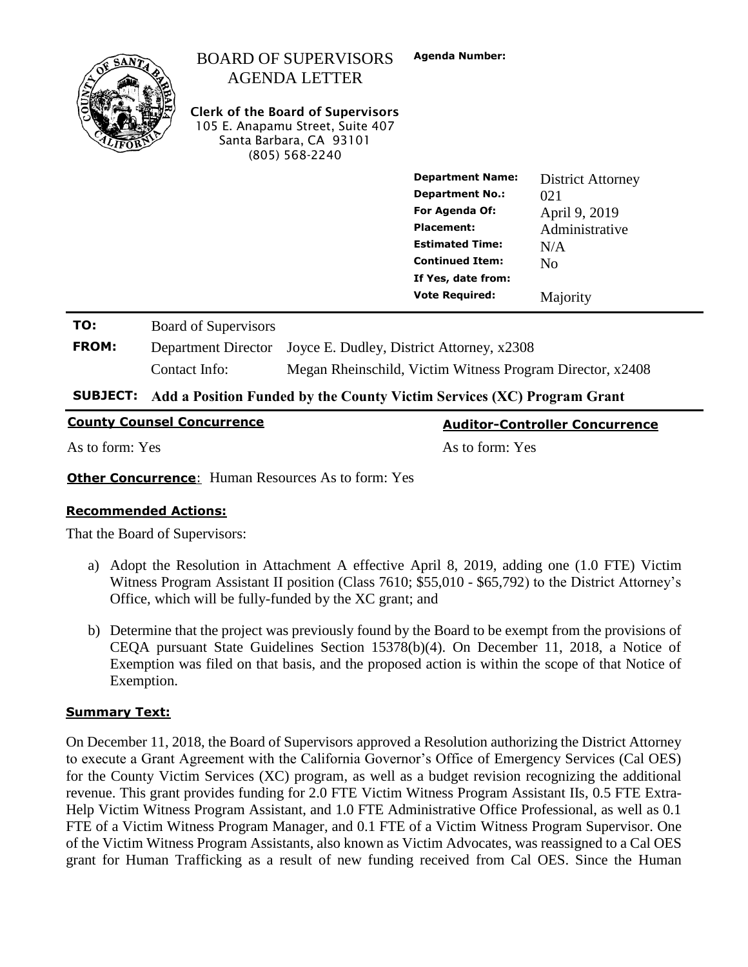|                     |                                                                        | <b>BOARD OF SUPERVISORS</b><br><b>AGENDA LETTER</b><br><b>Clerk of the Board of Supervisors</b><br>105 E. Anapamu Street, Suite 407<br>Santa Barbara, CA 93101<br>$(805)$ 568-2240 | <b>Agenda Number:</b>                                                                                                                                                                       |                                                                                                         |  |
|---------------------|------------------------------------------------------------------------|------------------------------------------------------------------------------------------------------------------------------------------------------------------------------------|---------------------------------------------------------------------------------------------------------------------------------------------------------------------------------------------|---------------------------------------------------------------------------------------------------------|--|
|                     |                                                                        |                                                                                                                                                                                    | <b>Department Name:</b><br><b>Department No.:</b><br>For Agenda Of:<br><b>Placement:</b><br><b>Estimated Time:</b><br><b>Continued Item:</b><br>If Yes, date from:<br><b>Vote Required:</b> | <b>District Attorney</b><br>021<br>April 9, 2019<br>Administrative<br>N/A<br>N <sub>0</sub><br>Majority |  |
| TO:<br><b>FROM:</b> | <b>Board of Supervisors</b><br>Department Director<br>Contact Info:    |                                                                                                                                                                                    | Joyce E. Dudley, District Attorney, x2308<br>Megan Rheinschild, Victim Witness Program Director, x2408                                                                                      |                                                                                                         |  |
| <b>SURIFCT:</b>     | Add a Position Funded by the County Victim Services (XC) Program Crant |                                                                                                                                                                                    |                                                                                                                                                                                             |                                                                                                         |  |

**SUBJECT: Add a Position Funded by the County Victim Services (XC) Program Grant**

|  | <b>County Counsel Concurrence</b> |  |
|--|-----------------------------------|--|
|  |                                   |  |

As to form: Yes As to form: Yes

**County Counsel Concurrence Auditor-Controller Concurrence**

**Other Concurrence:** Human Resources As to form: Yes

# **Recommended Actions:**

That the Board of Supervisors:

- a) Adopt the Resolution in Attachment A effective April 8, 2019, adding one (1.0 FTE) Victim Witness Program Assistant II position (Class 7610; \$55,010 - \$65,792) to the District Attorney's Office, which will be fully-funded by the XC grant; and
- b) Determine that the project was previously found by the Board to be exempt from the provisions of CEQA pursuant State Guidelines Section 15378(b)(4). On December 11, 2018, a Notice of Exemption was filed on that basis, and the proposed action is within the scope of that Notice of Exemption.

# **Summary Text:**

On December 11, 2018, the Board of Supervisors approved a Resolution authorizing the District Attorney to execute a Grant Agreement with the California Governor's Office of Emergency Services (Cal OES) for the County Victim Services (XC) program, as well as a budget revision recognizing the additional revenue. This grant provides funding for 2.0 FTE Victim Witness Program Assistant IIs, 0.5 FTE Extra-Help Victim Witness Program Assistant, and 1.0 FTE Administrative Office Professional, as well as 0.1 FTE of a Victim Witness Program Manager, and 0.1 FTE of a Victim Witness Program Supervisor. One of the Victim Witness Program Assistants, also known as Victim Advocates, was reassigned to a Cal OES grant for Human Trafficking as a result of new funding received from Cal OES. Since the Human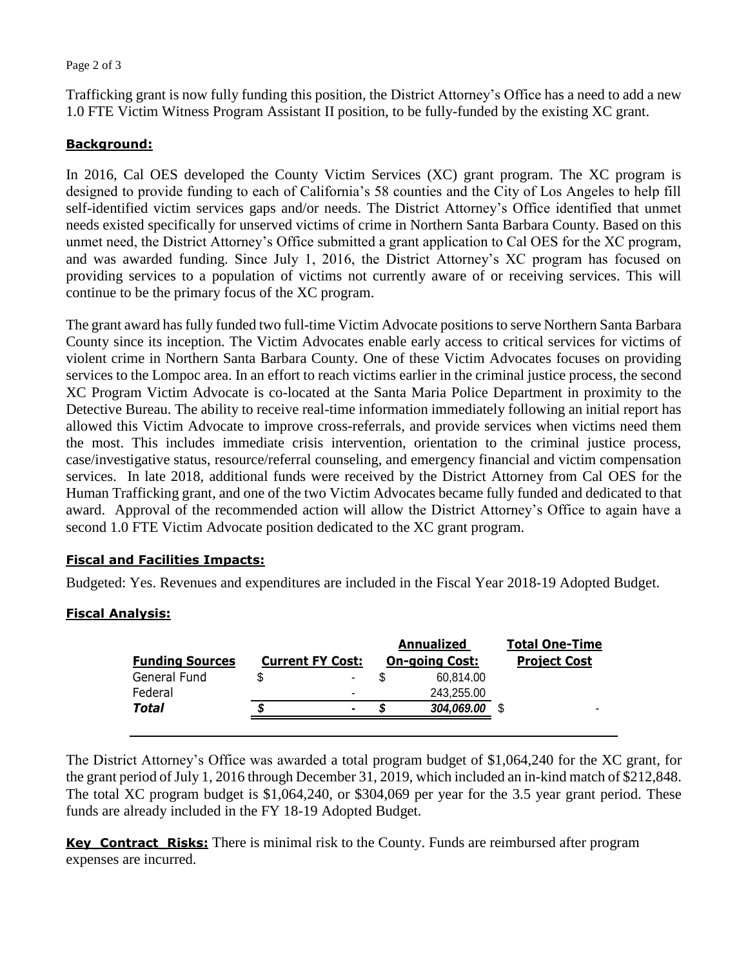Page 2 of 3

Trafficking grant is now fully funding this position, the District Attorney's Office has a need to add a new 1.0 FTE Victim Witness Program Assistant II position, to be fully-funded by the existing XC grant.

### **Background:**

In 2016, Cal OES developed the County Victim Services (XC) grant program. The XC program is designed to provide funding to each of California's 58 counties and the City of Los Angeles to help fill self-identified victim services gaps and/or needs. The District Attorney's Office identified that unmet needs existed specifically for unserved victims of crime in Northern Santa Barbara County. Based on this unmet need, the District Attorney's Office submitted a grant application to Cal OES for the XC program, and was awarded funding. Since July 1, 2016, the District Attorney's XC program has focused on providing services to a population of victims not currently aware of or receiving services. This will continue to be the primary focus of the XC program.

The grant award has fully funded two full-time Victim Advocate positions to serve Northern Santa Barbara County since its inception. The Victim Advocates enable early access to critical services for victims of violent crime in Northern Santa Barbara County. One of these Victim Advocates focuses on providing services to the Lompoc area. In an effort to reach victims earlier in the criminal justice process, the second XC Program Victim Advocate is co-located at the Santa Maria Police Department in proximity to the Detective Bureau. The ability to receive real-time information immediately following an initial report has allowed this Victim Advocate to improve cross-referrals, and provide services when victims need them the most. This includes immediate crisis intervention, orientation to the criminal justice process, case/investigative status, resource/referral counseling, and emergency financial and victim compensation services. In late 2018, additional funds were received by the District Attorney from Cal OES for the Human Trafficking grant, and one of the two Victim Advocates became fully funded and dedicated to that award. Approval of the recommended action will allow the District Attorney's Office to again have a second 1.0 FTE Victim Advocate position dedicated to the XC grant program.

#### **Fiscal and Facilities Impacts:**

Budgeted: Yes. Revenues and expenditures are included in the Fiscal Year 2018-19 Adopted Budget.

# **Fiscal Analysis:**

| <b>Funding Sources</b> | <b>Current FY Cost:</b>  | Annualized<br><b>On-going Cost:</b> | <b>Total One-Time</b><br><b>Project Cost</b> |
|------------------------|--------------------------|-------------------------------------|----------------------------------------------|
| General Fund           | $\blacksquare$           | 60,814.00                           |                                              |
| Federal                | $\overline{\phantom{0}}$ | 243,255.00                          |                                              |
| Total                  | S<br>$\blacksquare$      | 304,069.00                          |                                              |
|                        |                          |                                     |                                              |

The District Attorney's Office was awarded a total program budget of \$1,064,240 for the XC grant, for the grant period of July 1, 2016 through December 31, 2019, which included an in-kind match of \$212,848. The total XC program budget is \$1,064,240, or \$304,069 per year for the 3.5 year grant period. These funds are already included in the FY 18-19 Adopted Budget.

**Key\_Contract\_Risks:** There is minimal risk to the County. Funds are reimbursed after program expenses are incurred.